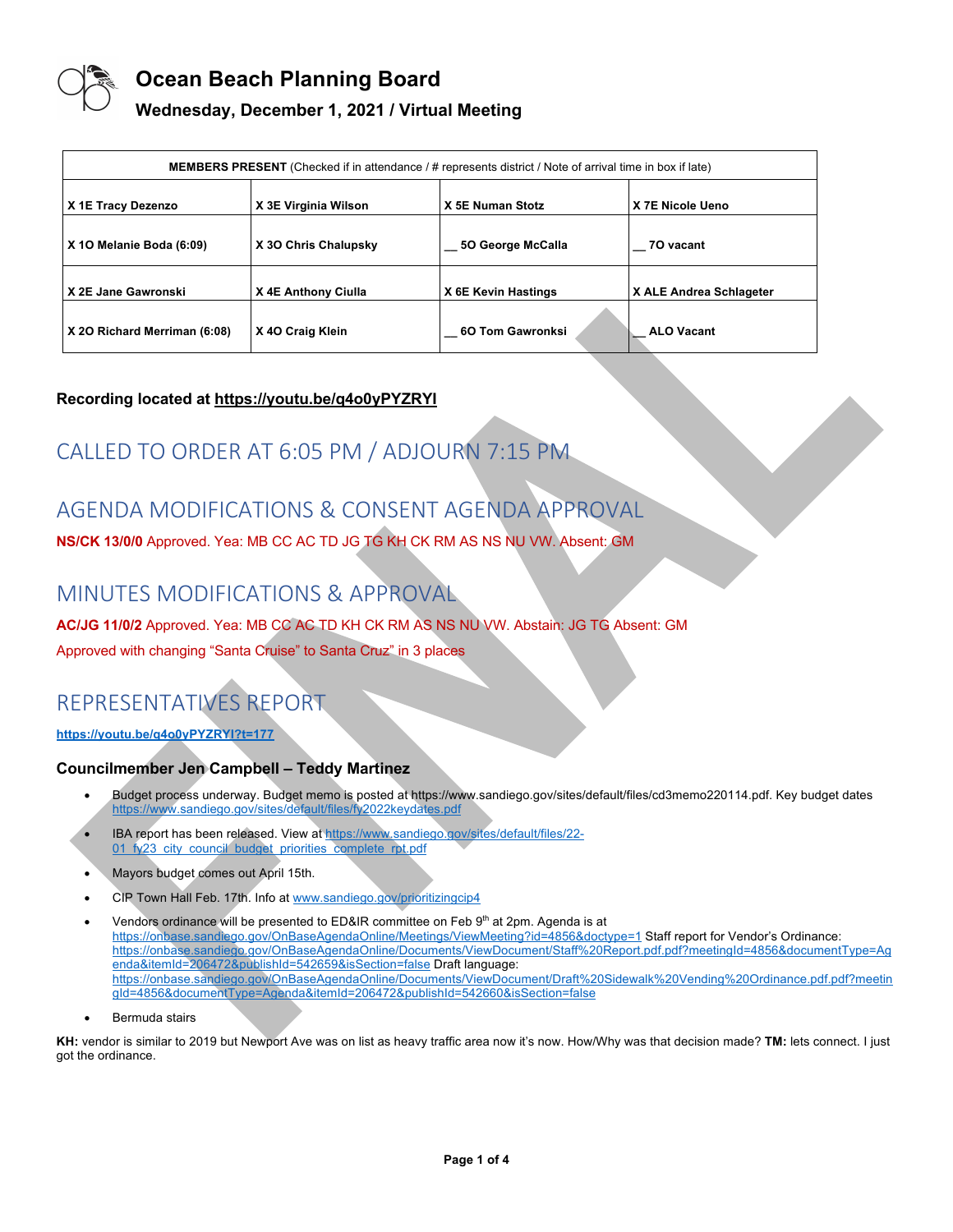

## **Wednesday, December 1, 2021 / Virtual Meeting**

| <b>MEMBERS PRESENT</b> (Checked if in attendance / # represents district / Note of arrival time in box if late) |                      |                     |                         |
|-----------------------------------------------------------------------------------------------------------------|----------------------|---------------------|-------------------------|
| X 1E Tracy Dezenzo                                                                                              | X 3E Virginia Wilson | X 5E Numan Stotz    | X 7E Nicole Ueno        |
| X 10 Melanie Boda (6:09)                                                                                        | X 30 Chris Chalupsky | 50 George McCalla   | 70 vacant               |
| X 2E Jane Gawronski                                                                                             | X 4E Anthony Ciulla  | X 6E Kevin Hastings | X ALE Andrea Schlageter |
| X 20 Richard Merriman (6:08)                                                                                    | X 40 Craig Klein     | 6O Tom Gawronksi    | <b>ALO Vacant</b>       |

## **Recording located at https://youtu.be/q4o0yPYZRYI**

# CALLED TO ORDER AT 6:05 PM / ADJOURN 7:15 PM

# AGENDA MODIFICATIONS & CONSENT AGENDA APPROVAL

**NS/CK 13/0/0** Approved. Yea: MB CC AC TD JG TG KH CK RM AS NS NU VW. Absent: GM

## MINUTES MODIFICATIONS & APPROVAL

## **AC/JG 11/0/2** Approved. Yea: MB CC AC TD KH CK RM AS NS NU VW. Abstain: JG TG Absent: GM

Approved with changing "Santa Cruise" to Santa Cruz" in 3 places

# REPRESENTATIVES REPORT

**https://youtu.be/q4o0yPYZRYI?t=177**

## **Councilmember Jen Campbell – Teddy Martinez**

- Budget process underway. Budget memo is posted at https://www.sandiego.gov/sites/default/files/cd3memo220114.pdf. Key budget dates https://www.sandiego.gov/sites/default/files/fy2022keydates.pdf
- IBA report has been released. View at https://www.sandiego.gov/sites/default/files/22- 01\_fy23\_city\_council\_budget\_priorities\_complete\_rpt.pdf
- Mayors budget comes out April 15th.
- CIP Town Hall Feb. 17th. Info at www.sandiego.gov/prioritizingcip4
- Vendors ordinance will be presented to ED&IR committee on Feb 9th at 2pm. Agenda is at https://onbase.sandiego.gov/OnBaseAgendaOnline/Meetings/ViewMeeting?id=4856&doctype=1 Staff report for Vendor's Ordinance: https://onbase.sandiego.gov/OnBaseAgendaOnline/Documents/ViewDocument/Staff%20Report.pdf.pdf?meetingId=4856&documentType=Ag enda&itemId=206472&publishId=542659&isSection=false Draft language: https://onbase.sandiego.gov/OnBaseAgendaOnline/Documents/ViewDocument/Draft%20Sidewalk%20Vending%20Ordinance.pdf.pdf?meetin gId=4856&documentType=Agenda&itemId=206472&publishId=542660&isSection=false
- Bermuda stairs

**KH:** vendor is similar to 2019 but Newport Ave was on list as heavy traffic area now it's now. How/Why was that decision made? **TM:** lets connect. I just got the ordinance.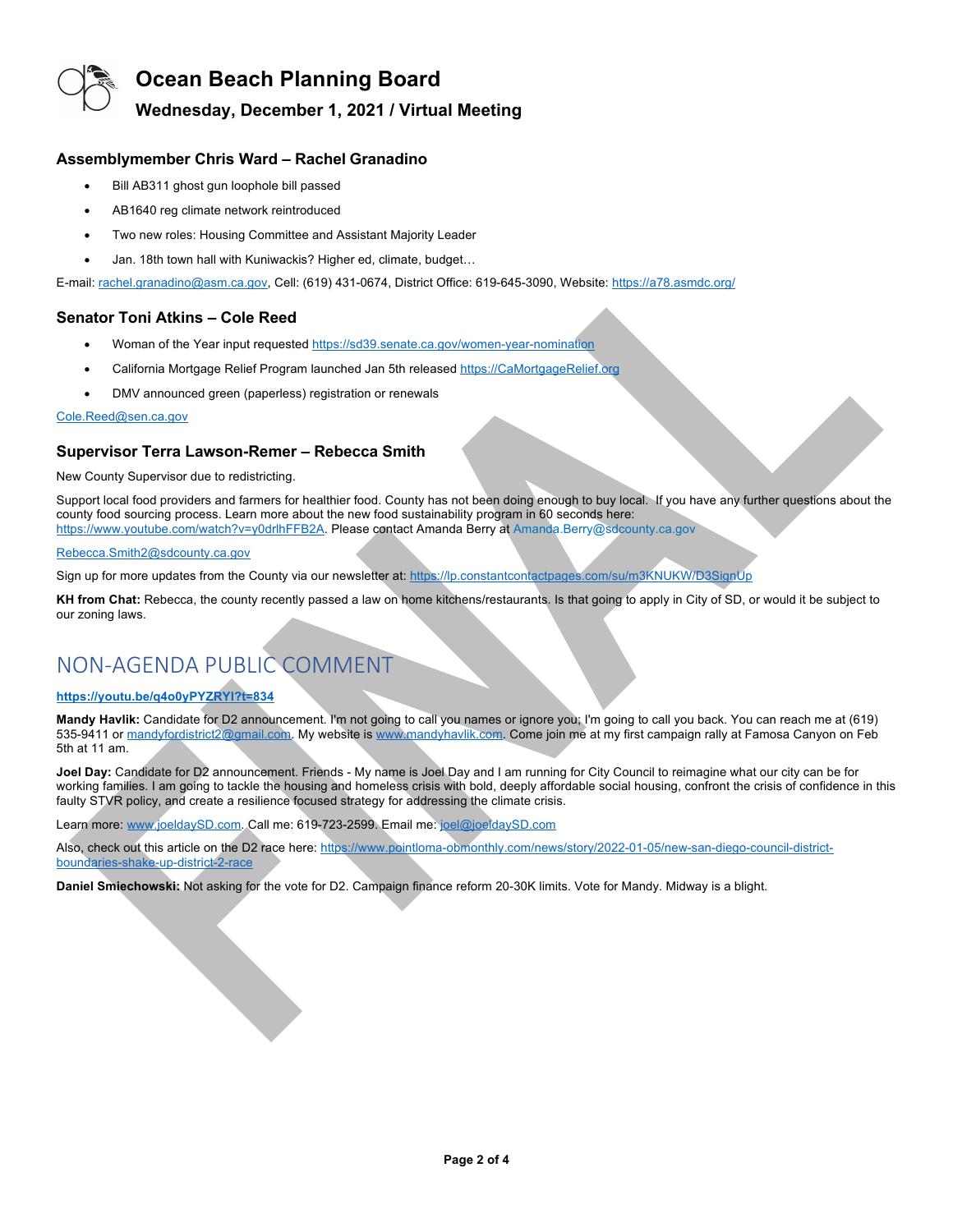

## **Wednesday, December 1, 2021 / Virtual Meeting**

### **Assemblymember Chris Ward – Rachel Granadino**

- Bill AB311 ghost gun loophole bill passed
- AB1640 reg climate network reintroduced
- Two new roles: Housing Committee and Assistant Majority Leader
- Jan. 18th town hall with Kuniwackis? Higher ed, climate, budget…

E-mail: rachel.granadino@asm.ca.gov, Cell: (619) 431-0674, District Office: 619-645-3090, Website: https://a78.asmdc.org/

### **Senator Toni Atkins – Cole Reed**

- Woman of the Year input requested https://sd39.senate.ca.gov/women-year-nomination
- California Mortgage Relief Program launched Jan 5th released https://CaMortgageRelief.org
- DMV announced green (paperless) registration or renewals

#### Cole.Reed@sen.ca.gov

### **Supervisor Terra Lawson-Remer – Rebecca Smith**

New County Supervisor due to redistricting.

Support local food providers and farmers for healthier food. County has not been doing enough to buy local. If you have any further questions about the county food sourcing process. Learn more about the new food sustainability program in 60 seconds here: https://www.youtube.com/watch?v=y0drlhFFB2A. Please contact Amanda Berry at Amanda.Berry@sdcounty.ca.gov

#### Rebecca.Smith2@sdcounty.ca.gov

Sign up for more updates from the County via our newsletter at: https://lp.constantcontactpages.com/su/m3KNUKW/D3SignUp

**KH from Chat:** Rebecca, the county recently passed a law on home kitchens/restaurants. Is that going to apply in City of SD, or would it be subject to our zoning laws.

# NON-AGENDA PUBLIC COMMENT

## **https://youtu.be/q4o0yPYZRYI?t=834**

**Mandy Havlik:** Candidate for D2 announcement. I'm not going to call you names or ignore you; I'm going to call you back. You can reach me at (619) 535-9411 or mandyfordistrict2@gmail.com. My website is www.mandyhavlik.com. Come join me at my first campaign rally at Famosa Canyon on Feb 5th at 11 am.

**Joel Day:** Candidate for D2 announcement. Friends - My name is Joel Day and I am running for City Council to reimagine what our city can be for working families. I am going to tackle the housing and homeless crisis with bold, deeply affordable social housing, confront the crisis of confidence in this faulty STVR policy, and create a resilience focused strategy for addressing the climate crisis.

Learn more: www.joeldaySD.com. Call me: 619-723-2599. Email me: joel@joeldaySD.com

Also, check out this article on the D2 race here: https://www.pointloma-obmonthly.com/news/story/2022-01-05/new-san-diego-council-districtboundaries-shake-up-district-2-race

**Daniel Smiechowski:** Not asking for the vote for D2. Campaign finance reform 20-30K limits. Vote for Mandy. Midway is a blight.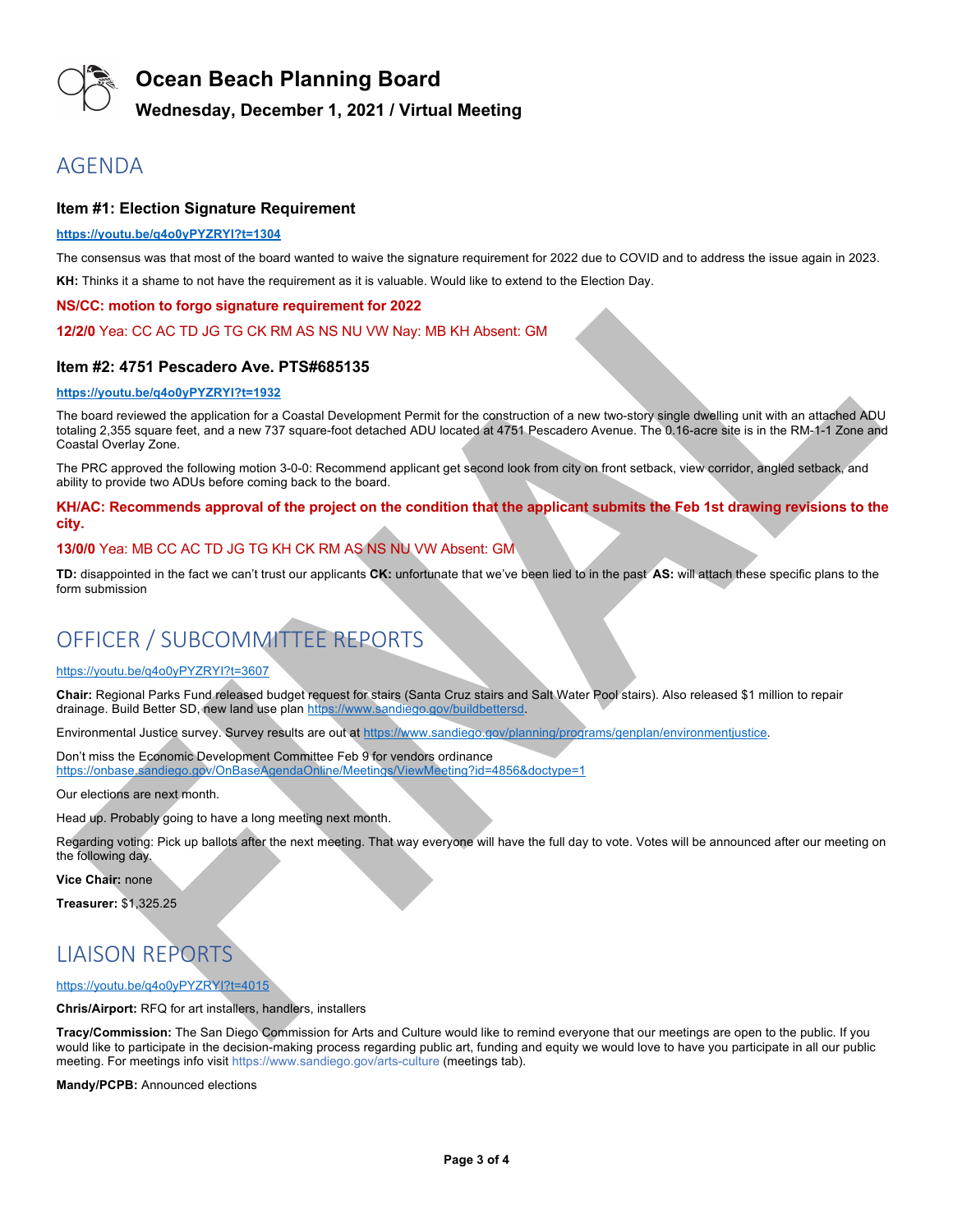

## **Wednesday, December 1, 2021 / Virtual Meeting**

## AGENDA

### **Item #1: Election Signature Requirement**

#### **https://youtu.be/q4o0yPYZRYI?t=1304**

The consensus was that most of the board wanted to waive the signature requirement for 2022 due to COVID and to address the issue again in 2023.

**KH:** Thinks it a shame to not have the requirement as it is valuable. Would like to extend to the Election Day.

#### **NS/CC: motion to forgo signature requirement for 2022**

#### **12/2/0** Yea: CC AC TD JG TG CK RM AS NS NU VW Nay: MB KH Absent: GM

### **Item #2: 4751 Pescadero Ave. PTS#685135**

#### **https://youtu.be/q4o0yPYZRYI?t=1932**

The board reviewed the application for a Coastal Development Permit for the construction of a new two-story single dwelling unit with an attached ADU totaling 2,355 square feet, and a new 737 square-foot detached ADU located at 4751 Pescadero Avenue. The 0.16-acre site is in the RM-1-1 Zone and Coastal Overlay Zone.

The PRC approved the following motion 3-0-0: Recommend applicant get second look from city on front setback, view corridor, angled setback, and ability to provide two ADUs before coming back to the board.

**KH/AC: Recommends approval of the project on the condition that the applicant submits the Feb 1st drawing revisions to the city.**

### **13/0/0** Yea: MB CC AC TD JG TG KH CK RM AS NS NU VW Absent: GM

**TD:** disappointed in the fact we can't trust our applicants **CK:** unfortunate that we've been lied to in the past **AS:** will attach these specific plans to the form submission

# OFFICER / SUBCOMMITTEE REPORTS

#### https://youtu.be/q4o0yPYZRYI?t=3607

**Chair:** Regional Parks Fund released budget request for stairs (Santa Cruz stairs and Salt Water Pool stairs). Also released \$1 million to repair drainage. Build Better SD, new land use plan https://www.sandiego.gov/buildbettersd.

Environmental Justice survey. Survey results are out at https://www.sandiego.gov/planning/programs/genplan/environmentjustice.

Don't miss the Economic Development Committee Feb 9 for vendors ordinance https://onbase.sandiego.gov/OnBaseAgendaOnline/Meetings/ViewMeeting?id=4856&doctype=1

Our elections are next month.

Head up. Probably going to have a long meeting next month.

Regarding voting: Pick up ballots after the next meeting. That way everyone will have the full day to vote. Votes will be announced after our meeting on the following day.

**Vice Chair:** none

**Treasurer:** \$1,325.25

## LIAISON REPORTS

#### https://youtu.be/q4o0yPYZRYI?t=4015

**Chris/Airport:** RFQ for art installers, handlers, installers

**Tracy/Commission:** The San Diego Commission for Arts and Culture would like to remind everyone that our meetings are open to the public. If you would like to participate in the decision-making process regarding public art, funding and equity we would love to have you participate in all our public meeting. For meetings info visit https://www.sandiego.gov/arts-culture (meetings tab).

**Mandy/PCPB:** Announced elections